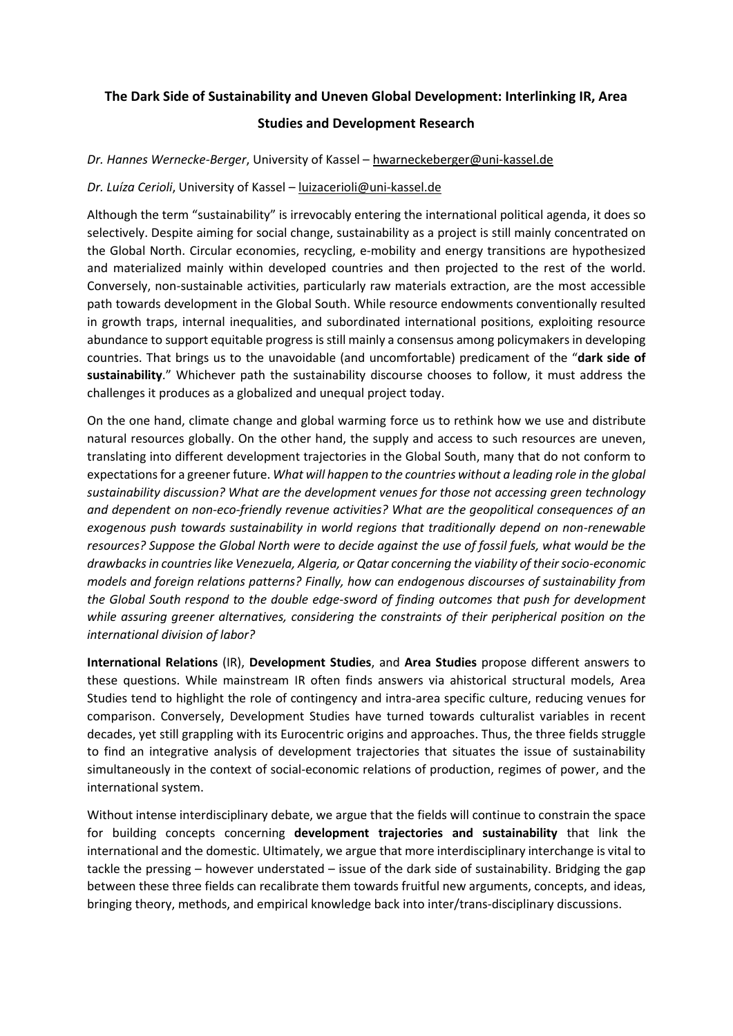#### **The Dark Side of Sustainability and Uneven Global Development: Interlinking IR, Area**

#### **Studies and Development Research**

*Dr. Hannes Wernecke-Berger*, University of Kassel – [hwarneckeberger@uni-kassel.de](mailto:hwarneckeberger@uni-kassel.de)

#### *Dr. Luíza Cerioli*, University of Kassel – [luizacerioli@uni-kassel.de](mailto:luizacerioli@uni-kassel.de)

Although the term "sustainability" is irrevocably entering the international political agenda, it does so selectively. Despite aiming for social change, sustainability as a project is still mainly concentrated on the Global North. Circular economies, recycling, e-mobility and energy transitions are hypothesized and materialized mainly within developed countries and then projected to the rest of the world. Conversely, non-sustainable activities, particularly raw materials extraction, are the most accessible path towards development in the Global South. While resource endowments conventionally resulted in growth traps, internal inequalities, and subordinated international positions, exploiting resource abundance to support equitable progress is still mainly a consensus among policymakers in developing countries. That brings us to the unavoidable (and uncomfortable) predicament of the "**dark side of sustainability**." Whichever path the sustainability discourse chooses to follow, it must address the challenges it produces as a globalized and unequal project today.

On the one hand, climate change and global warming force us to rethink how we use and distribute natural resources globally. On the other hand, the supply and access to such resources are uneven, translating into different development trajectories in the Global South, many that do not conform to expectations for a greener future. *What will happen to the countries without a leading role in the global sustainability discussion? What are the development venues for those not accessing green technology and dependent on non-eco-friendly revenue activities? What are the geopolitical consequences of an exogenous push towards sustainability in world regions that traditionally depend on non-renewable resources? Suppose the Global North were to decide against the use of fossil fuels, what would be the drawbacksin countries like Venezuela, Algeria, or Qatar concerning the viability of their socio-economic models and foreign relations patterns? Finally, how can endogenous discourses of sustainability from the Global South respond to the double edge-sword of finding outcomes that push for development while assuring greener alternatives, considering the constraints of their peripherical position on the international division of labor?*

**International Relations** (IR), **Development Studies**, and **Area Studies** propose different answers to these questions. While mainstream IR often finds answers via ahistorical structural models, Area Studies tend to highlight the role of contingency and intra-area specific culture, reducing venues for comparison. Conversely, Development Studies have turned towards culturalist variables in recent decades, yet still grappling with its Eurocentric origins and approaches. Thus, the three fields struggle to find an integrative analysis of development trajectories that situates the issue of sustainability simultaneously in the context of social-economic relations of production, regimes of power, and the international system.

Without intense interdisciplinary debate, we argue that the fields will continue to constrain the space for building concepts concerning **development trajectories and sustainability** that link the international and the domestic. Ultimately, we argue that more interdisciplinary interchange is vital to tackle the pressing – however understated – issue of the dark side of sustainability. Bridging the gap between these three fields can recalibrate them towards fruitful new arguments, concepts, and ideas, bringing theory, methods, and empirical knowledge back into inter/trans-disciplinary discussions.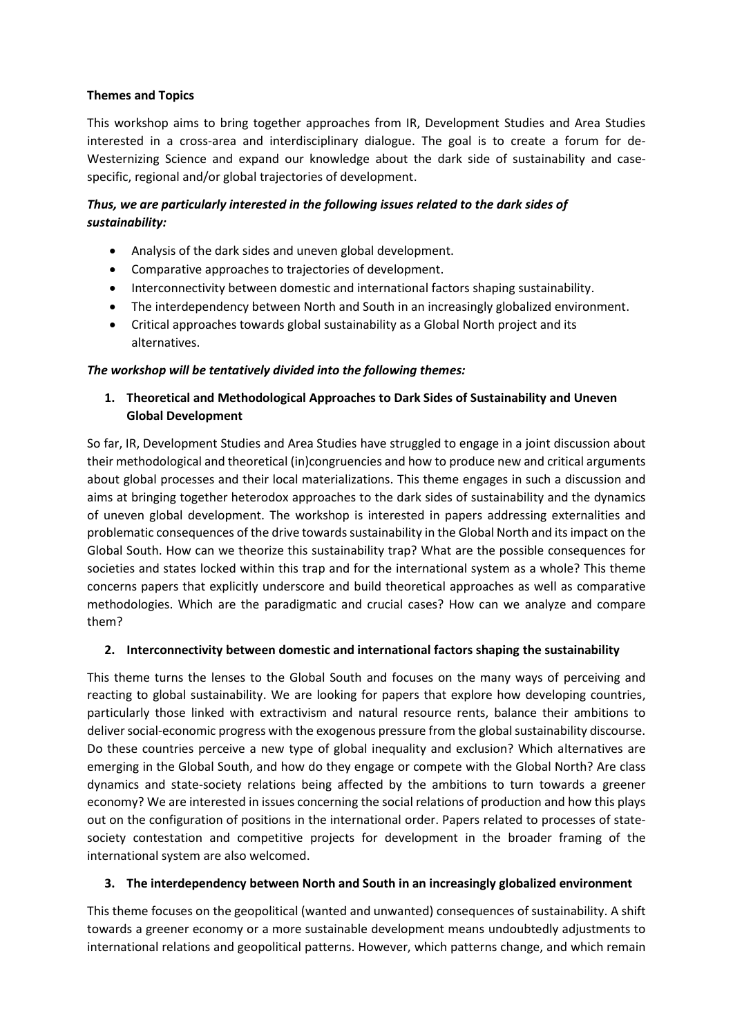## **Themes and Topics**

This workshop aims to bring together approaches from IR, Development Studies and Area Studies interested in a cross-area and interdisciplinary dialogue. The goal is to create a forum for de-Westernizing Science and expand our knowledge about the dark side of sustainability and casespecific, regional and/or global trajectories of development.

## *Thus, we are particularly interested in the following issues related to the dark sides of sustainability:*

- Analysis of the dark sides and uneven global development.
- Comparative approaches to trajectories of development.
- Interconnectivity between domestic and international factors shaping sustainability.
- The interdependency between North and South in an increasingly globalized environment.
- Critical approaches towards global sustainability as a Global North project and its alternatives.

## *The workshop will be tentatively divided into the following themes:*

# **1. Theoretical and Methodological Approaches to Dark Sides of Sustainability and Uneven Global Development**

So far, IR, Development Studies and Area Studies have struggled to engage in a joint discussion about their methodological and theoretical (in)congruencies and how to produce new and critical arguments about global processes and their local materializations. This theme engages in such a discussion and aims at bringing together heterodox approaches to the dark sides of sustainability and the dynamics of uneven global development. The workshop is interested in papers addressing externalities and problematic consequences of the drive towards sustainability in the Global North and its impact on the Global South. How can we theorize this sustainability trap? What are the possible consequences for societies and states locked within this trap and for the international system as a whole? This theme concerns papers that explicitly underscore and build theoretical approaches as well as comparative methodologies. Which are the paradigmatic and crucial cases? How can we analyze and compare them?

## **2. Interconnectivity between domestic and international factors shaping the sustainability**

This theme turns the lenses to the Global South and focuses on the many ways of perceiving and reacting to global sustainability. We are looking for papers that explore how developing countries, particularly those linked with extractivism and natural resource rents, balance their ambitions to deliver social-economic progress with the exogenous pressure from the global sustainability discourse. Do these countries perceive a new type of global inequality and exclusion? Which alternatives are emerging in the Global South, and how do they engage or compete with the Global North? Are class dynamics and state-society relations being affected by the ambitions to turn towards a greener economy? We are interested in issues concerning the social relations of production and how this plays out on the configuration of positions in the international order. Papers related to processes of statesociety contestation and competitive projects for development in the broader framing of the international system are also welcomed.

## **3. The interdependency between North and South in an increasingly globalized environment**

This theme focuses on the geopolitical (wanted and unwanted) consequences of sustainability. A shift towards a greener economy or a more sustainable development means undoubtedly adjustments to international relations and geopolitical patterns. However, which patterns change, and which remain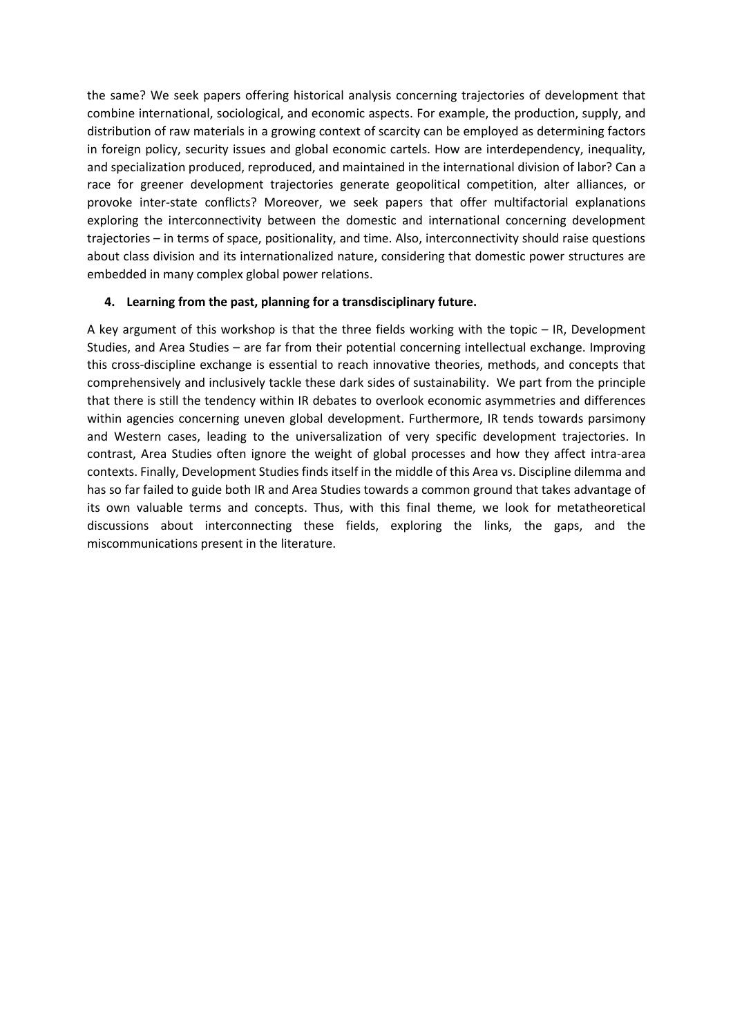the same? We seek papers offering historical analysis concerning trajectories of development that combine international, sociological, and economic aspects. For example, the production, supply, and distribution of raw materials in a growing context of scarcity can be employed as determining factors in foreign policy, security issues and global economic cartels. How are interdependency, inequality, and specialization produced, reproduced, and maintained in the international division of labor? Can a race for greener development trajectories generate geopolitical competition, alter alliances, or provoke inter-state conflicts? Moreover, we seek papers that offer multifactorial explanations exploring the interconnectivity between the domestic and international concerning development trajectories – in terms of space, positionality, and time. Also, interconnectivity should raise questions about class division and its internationalized nature, considering that domestic power structures are embedded in many complex global power relations.

#### **4. Learning from the past, planning for a transdisciplinary future.**

A key argument of this workshop is that the three fields working with the topic – IR, Development Studies, and Area Studies – are far from their potential concerning intellectual exchange. Improving this cross-discipline exchange is essential to reach innovative theories, methods, and concepts that comprehensively and inclusively tackle these dark sides of sustainability. We part from the principle that there is still the tendency within IR debates to overlook economic asymmetries and differences within agencies concerning uneven global development. Furthermore, IR tends towards parsimony and Western cases, leading to the universalization of very specific development trajectories. In contrast, Area Studies often ignore the weight of global processes and how they affect intra-area contexts. Finally, Development Studies finds itself in the middle of this Area vs. Discipline dilemma and has so far failed to guide both IR and Area Studies towards a common ground that takes advantage of its own valuable terms and concepts. Thus, with this final theme, we look for metatheoretical discussions about interconnecting these fields, exploring the links, the gaps, and the miscommunications present in the literature.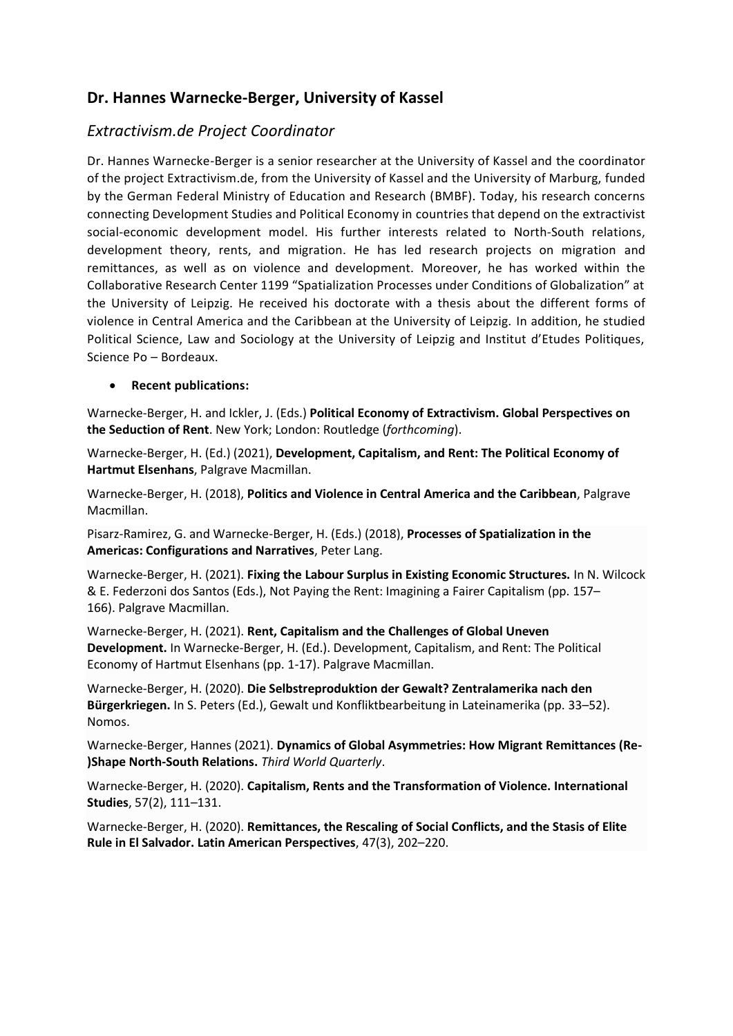# **Dr. Hannes Warnecke-Berger, University of Kassel**

# *Extractivism.de Project Coordinator*

Dr. Hannes Warnecke-Berger is a senior researcher at the University of Kassel and the coordinator of the project Extractivism.de, from the University of Kassel and the University of Marburg, funded by the German Federal Ministry of Education and Research (BMBF). Today, his research concerns connecting Development Studies and Political Economy in countries that depend on the extractivist social-economic development model. His further interests related to North-South relations, development theory, rents, and migration. He has led research projects on migration and remittances, as well as on violence and development. Moreover, he has worked within the Collaborative Research Center 1199 "Spatialization Processes under Conditions of Globalization" at the University of Leipzig. He received his doctorate with a thesis about the different forms of violence in Central America and the Caribbean at the University of Leipzig. In addition, he studied Political Science, Law and Sociology at the University of Leipzig and Institut d'Etudes Politiques, Science Po – Bordeaux.

#### • **Recent publications:**

Warnecke-Berger, H. and Ickler, J. (Eds.) **Political Economy of Extractivism. Global Perspectives on the Seduction of Rent**. New York; London: Routledge (*forthcoming*).

Warnecke-Berger, H. (Ed.) (2021), **Development, Capitalism, and Rent: The Political Economy of Hartmut Elsenhans**, Palgrave Macmillan.

Warnecke-Berger, H. (2018), **Politics and Violence in Central America and the Caribbean**, Palgrave Macmillan.

Pisarz-Ramirez, G. and Warnecke-Berger, H. (Eds.) (2018), **Processes of Spatialization in the Americas: Configurations and Narratives**, Peter Lang.

Warnecke-Berger, H. (2021). **Fixing the Labour Surplus in Existing Economic Structures.** In N. Wilcock & E. Federzoni dos Santos (Eds.), Not Paying the Rent: Imagining a Fairer Capitalism (pp. 157– 166). Palgrave Macmillan.

Warnecke-Berger, H. (2021). **Rent, Capitalism and the Challenges of Global Uneven Development.** In Warnecke-Berger, H. (Ed.). Development, Capitalism, and Rent: The Political Economy of Hartmut Elsenhans (pp. 1-17). Palgrave Macmillan.

Warnecke-Berger, H. (2020). **Die Selbstreproduktion der Gewalt? Zentralamerika nach den Bürgerkriegen.** In S. Peters (Ed.), Gewalt und Konfliktbearbeitung in Lateinamerika (pp. 33–52). Nomos.

Warnecke-Berger, Hannes (2021). **Dynamics of Global Asymmetries: How Migrant Remittances (Re- )Shape North-South Relations.** *Third World Quarterly*.

Warnecke-Berger, H. (2020). **Capitalism, Rents and the Transformation of Violence. International Studies**, 57(2), 111–131.

Warnecke-Berger, H. (2020). **Remittances, the Rescaling of Social Conflicts, and the Stasis of Elite Rule in El Salvador. Latin American Perspectives**, 47(3), 202–220.